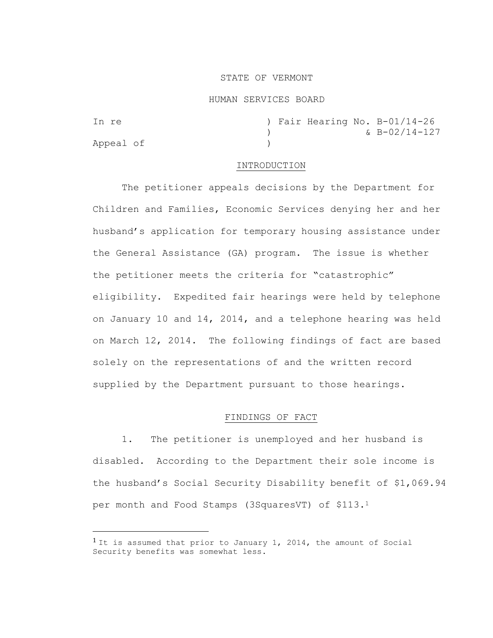### STATE OF VERMONT

#### HUMAN SERVICES BOARD

| In re     |  |  | ) Fair Hearing No. B-01/14-26 |
|-----------|--|--|-------------------------------|
|           |  |  | $&\text{B}-02/14-127$         |
| Appeal of |  |  |                               |

### INTRODUCTION

The petitioner appeals decisions by the Department for Children and Families, Economic Services denying her and her husband's application for temporary housing assistance under the General Assistance (GA) program. The issue is whether the petitioner meets the criteria for "catastrophic" eligibility. Expedited fair hearings were held by telephone on January 10 and 14, 2014, and a telephone hearing was held on March 12, 2014. The following findings of fact are based solely on the representations of and the written record supplied by the Department pursuant to those hearings.

# FINDINGS OF FACT

1. The petitioner is unemployed and her husband is disabled. According to the Department their sole income is the husband's Social Security Disability benefit of \$1,069.94 per month and Food Stamps (3SquaresVT) of \$113.<sup>1</sup>

<sup>&</sup>lt;sup>1</sup> It is assumed that prior to January 1, 2014, the amount of Social Security benefits was somewhat less.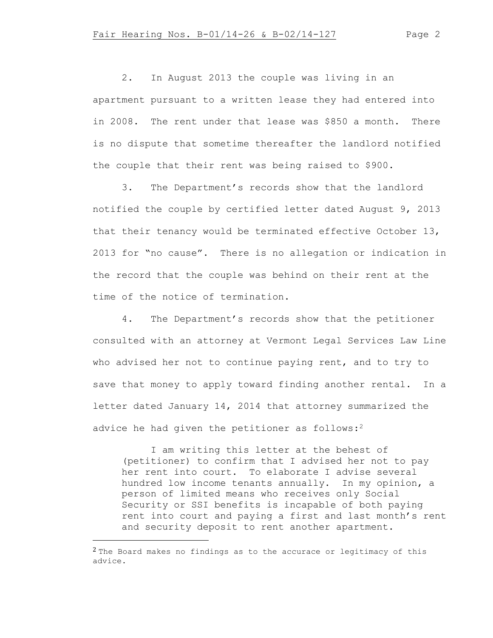2. In August 2013 the couple was living in an apartment pursuant to a written lease they had entered into in 2008. The rent under that lease was \$850 a month. There is no dispute that sometime thereafter the landlord notified the couple that their rent was being raised to \$900.

3. The Department's records show that the landlord notified the couple by certified letter dated August 9, 2013 that their tenancy would be terminated effective October 13, 2013 for "no cause". There is no allegation or indication in the record that the couple was behind on their rent at the time of the notice of termination.

4. The Department's records show that the petitioner consulted with an attorney at Vermont Legal Services Law Line who advised her not to continue paying rent, and to try to save that money to apply toward finding another rental. In a letter dated January 14, 2014 that attorney summarized the advice he had given the petitioner as follows:<sup>2</sup>

I am writing this letter at the behest of (petitioner) to confirm that I advised her not to pay her rent into court. To elaborate I advise several hundred low income tenants annually. In my opinion, a person of limited means who receives only Social Security or SSI benefits is incapable of both paying rent into court and paying a first and last month's rent and security deposit to rent another apartment.

 $2$  The Board makes no findings as to the accurace or legitimacy of this advice.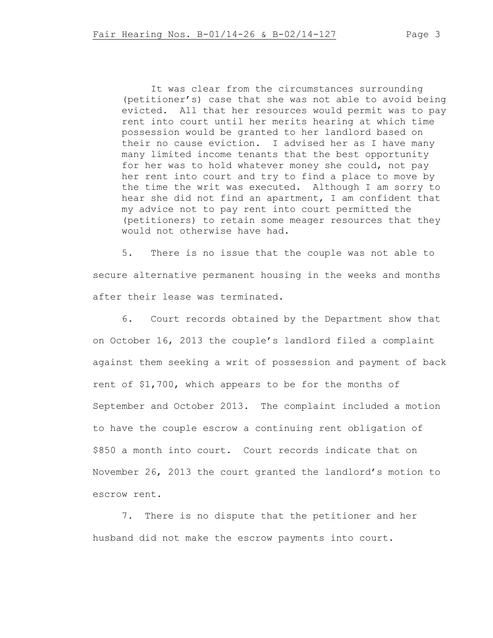It was clear from the circumstances surrounding (petitioner's) case that she was not able to avoid being evicted. All that her resources would permit was to pay rent into court until her merits hearing at which time possession would be granted to her landlord based on their no cause eviction. I advised her as I have many many limited income tenants that the best opportunity for her was to hold whatever money she could, not pay her rent into court and try to find a place to move by the time the writ was executed. Although I am sorry to hear she did not find an apartment, I am confident that my advice not to pay rent into court permitted the (petitioners) to retain some meager resources that they would not otherwise have had.

5. There is no issue that the couple was not able to secure alternative permanent housing in the weeks and months after their lease was terminated.

6. Court records obtained by the Department show that on October 16, 2013 the couple's landlord filed a complaint against them seeking a writ of possession and payment of back rent of \$1,700, which appears to be for the months of September and October 2013. The complaint included a motion to have the couple escrow a continuing rent obligation of \$850 a month into court. Court records indicate that on November 26, 2013 the court granted the landlord's motion to escrow rent.

7. There is no dispute that the petitioner and her husband did not make the escrow payments into court.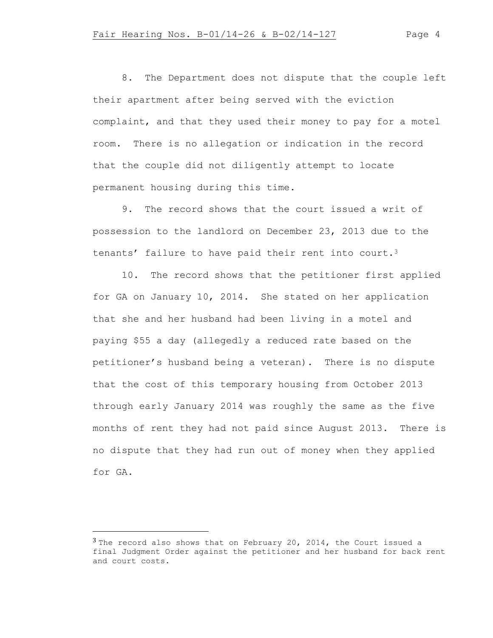8. The Department does not dispute that the couple left their apartment after being served with the eviction complaint, and that they used their money to pay for a motel room. There is no allegation or indication in the record that the couple did not diligently attempt to locate permanent housing during this time.

9. The record shows that the court issued a writ of possession to the landlord on December 23, 2013 due to the tenants' failure to have paid their rent into court.<sup>3</sup>

10. The record shows that the petitioner first applied for GA on January 10, 2014. She stated on her application that she and her husband had been living in a motel and paying \$55 a day (allegedly a reduced rate based on the petitioner's husband being a veteran). There is no dispute that the cost of this temporary housing from October 2013 through early January 2014 was roughly the same as the five months of rent they had not paid since August 2013. There is no dispute that they had run out of money when they applied for GA.

 $3$  The record also shows that on February 20, 2014, the Court issued a final Judgment Order against the petitioner and her husband for back rent and court costs.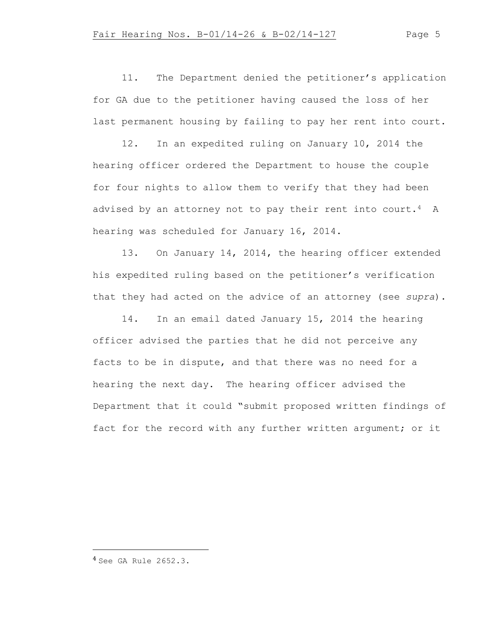11. The Department denied the petitioner's application for GA due to the petitioner having caused the loss of her last permanent housing by failing to pay her rent into court.

12. In an expedited ruling on January 10, 2014 the hearing officer ordered the Department to house the couple for four nights to allow them to verify that they had been advised by an attorney not to pay their rent into court.<sup>4</sup> A hearing was scheduled for January 16, 2014.

13. On January 14, 2014, the hearing officer extended his expedited ruling based on the petitioner's verification that they had acted on the advice of an attorney (see *supra*).

14. In an email dated January 15, 2014 the hearing officer advised the parties that he did not perceive any facts to be in dispute, and that there was no need for a hearing the next day. The hearing officer advised the Department that it could "submit proposed written findings of fact for the record with any further written argument; or it

<sup>4</sup> See GA Rule 2652.3.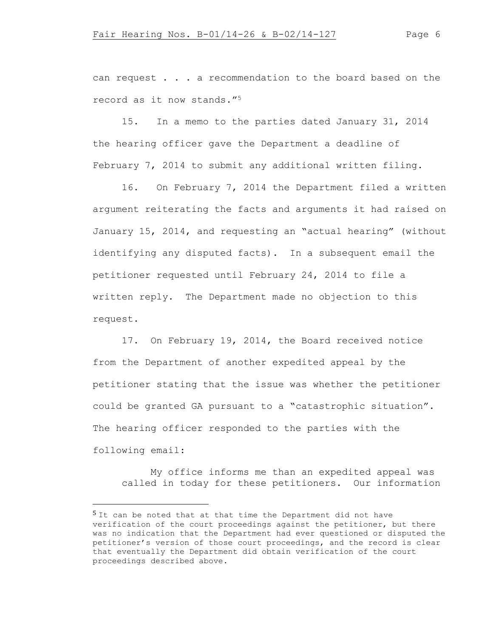can request . . . a recommendation to the board based on the record as it now stands."<sup>5</sup>

15. In a memo to the parties dated January 31, 2014 the hearing officer gave the Department a deadline of February 7, 2014 to submit any additional written filing.

16. On February 7, 2014 the Department filed a written argument reiterating the facts and arguments it had raised on January 15, 2014, and requesting an "actual hearing" (without identifying any disputed facts). In a subsequent email the petitioner requested until February 24, 2014 to file a written reply. The Department made no objection to this request.

17. On February 19, 2014, the Board received notice from the Department of another expedited appeal by the petitioner stating that the issue was whether the petitioner could be granted GA pursuant to a "catastrophic situation". The hearing officer responded to the parties with the following email:

My office informs me than an expedited appeal was called in today for these petitioners. Our information

<sup>&</sup>lt;sup>5</sup> It can be noted that at that time the Department did not have verification of the court proceedings against the petitioner, but there was no indication that the Department had ever questioned or disputed the petitioner's version of those court proceedings, and the record is clear that eventually the Department did obtain verification of the court proceedings described above.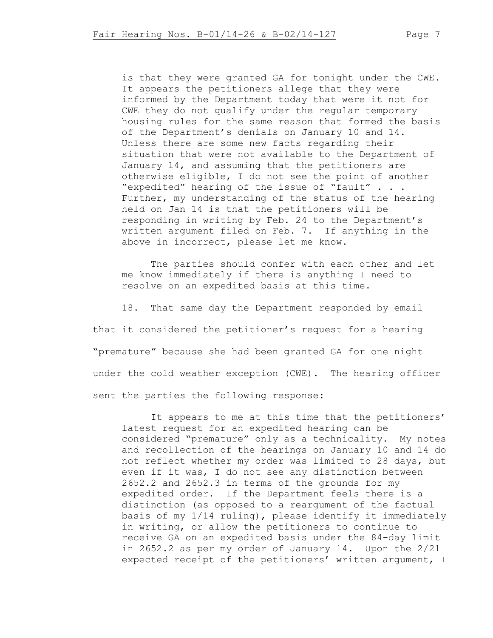is that they were granted GA for tonight under the CWE. It appears the petitioners allege that they were informed by the Department today that were it not for CWE they do not qualify under the regular temporary housing rules for the same reason that formed the basis of the Department's denials on January 10 and 14. Unless there are some new facts regarding their situation that were not available to the Department of January 14, and assuming that the petitioners are otherwise eligible, I do not see the point of another "expedited" hearing of the issue of "fault" . . . Further, my understanding of the status of the hearing held on Jan 14 is that the petitioners will be responding in writing by Feb. 24 to the Department's written argument filed on Feb. 7. If anything in the above in incorrect, please let me know.

The parties should confer with each other and let me know immediately if there is anything I need to resolve on an expedited basis at this time.

18. That same day the Department responded by email that it considered the petitioner's request for a hearing "premature" because she had been granted GA for one night under the cold weather exception (CWE). The hearing officer sent the parties the following response:

It appears to me at this time that the petitioners' latest request for an expedited hearing can be considered "premature" only as a technicality. My notes and recollection of the hearings on January 10 and 14 do not reflect whether my order was limited to 28 days, but even if it was, I do not see any distinction between 2652.2 and 2652.3 in terms of the grounds for my expedited order. If the Department feels there is a distinction (as opposed to a reargument of the factual basis of my 1/14 ruling), please identify it immediately in writing, or allow the petitioners to continue to receive GA on an expedited basis under the 84-day limit in 2652.2 as per my order of January 14. Upon the 2/21 expected receipt of the petitioners' written argument, I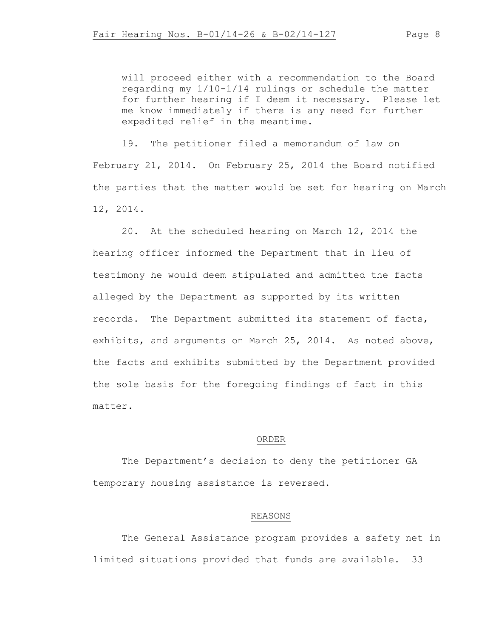will proceed either with a recommendation to the Board regarding my 1/10-1/14 rulings or schedule the matter for further hearing if I deem it necessary. Please let me know immediately if there is any need for further expedited relief in the meantime.

19. The petitioner filed a memorandum of law on February 21, 2014. On February 25, 2014 the Board notified the parties that the matter would be set for hearing on March 12, 2014.

20. At the scheduled hearing on March 12, 2014 the hearing officer informed the Department that in lieu of testimony he would deem stipulated and admitted the facts alleged by the Department as supported by its written records. The Department submitted its statement of facts, exhibits, and arguments on March 25, 2014. As noted above, the facts and exhibits submitted by the Department provided the sole basis for the foregoing findings of fact in this matter.

### ORDER

The Department's decision to deny the petitioner GA temporary housing assistance is reversed.

## REASONS

The General Assistance program provides a safety net in limited situations provided that funds are available. 33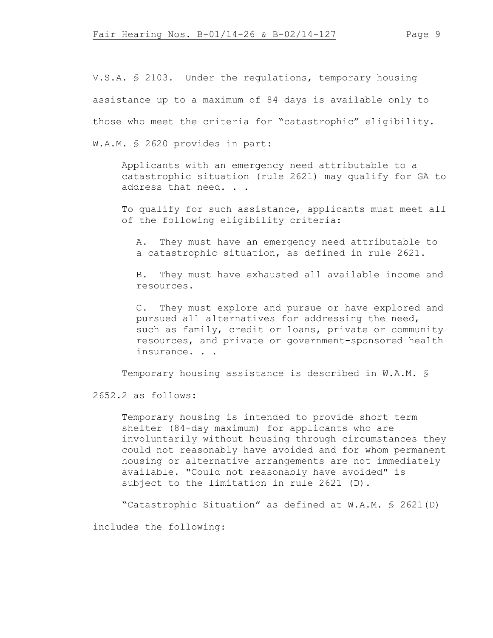V.S.A. § 2103. Under the regulations, temporary housing assistance up to a maximum of 84 days is available only to those who meet the criteria for "catastrophic" eligibility. W.A.M. § 2620 provides in part:

Applicants with an emergency need attributable to a catastrophic situation (rule 2621) may qualify for GA to address that need. . .

To qualify for such assistance, applicants must meet all of the following eligibility criteria:

A. They must have an emergency need attributable to a catastrophic situation, as defined in rule 2621.

B. They must have exhausted all available income and resources.

C. They must explore and pursue or have explored and pursued all alternatives for addressing the need, such as family, credit or loans, private or community resources, and private or government-sponsored health insurance. . .

Temporary housing assistance is described in W.A.M. §

2652.2 as follows:

Temporary housing is intended to provide short term shelter (84-day maximum) for applicants who are involuntarily without housing through circumstances they could not reasonably have avoided and for whom permanent housing or alternative arrangements are not immediately available. "Could not reasonably have avoided" is subject to the limitation in rule 2621 (D).

"Catastrophic Situation" as defined at W.A.M. § 2621(D)

includes the following: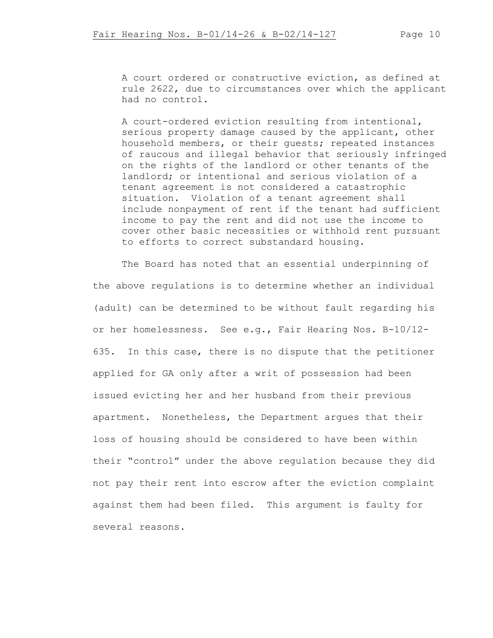A court ordered or constructive eviction, as defined at rule 2622, due to circumstances over which the applicant had no control.

A court-ordered eviction resulting from intentional, serious property damage caused by the applicant, other household members, or their guests; repeated instances of raucous and illegal behavior that seriously infringed on the rights of the landlord or other tenants of the landlord; or intentional and serious violation of a tenant agreement is not considered a catastrophic situation. Violation of a tenant agreement shall include nonpayment of rent if the tenant had sufficient income to pay the rent and did not use the income to cover other basic necessities or withhold rent pursuant to efforts to correct substandard housing.

The Board has noted that an essential underpinning of the above regulations is to determine whether an individual (adult) can be determined to be without fault regarding his or her homelessness. See e.g., Fair Hearing Nos. B-10/12- 635. In this case, there is no dispute that the petitioner applied for GA only after a writ of possession had been issued evicting her and her husband from their previous apartment. Nonetheless, the Department argues that their loss of housing should be considered to have been within their "control" under the above regulation because they did not pay their rent into escrow after the eviction complaint against them had been filed. This argument is faulty for several reasons.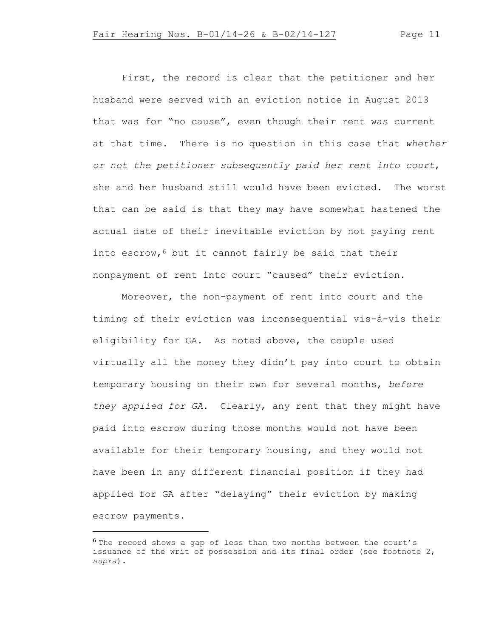First, the record is clear that the petitioner and her husband were served with an eviction notice in August 2013 that was for "no cause", even though their rent was current at that time. There is no question in this case that *whether or not the petitioner subsequently paid her rent into court*, she and her husband still would have been evicted. The worst that can be said is that they may have somewhat hastened the actual date of their inevitable eviction by not paying rent into escrow,  $6$  but it cannot fairly be said that their nonpayment of rent into court "caused" their eviction.

Moreover, the non-payment of rent into court and the timing of their eviction was inconsequential vis-à-vis their eligibility for GA. As noted above, the couple used virtually all the money they didn't pay into court to obtain temporary housing on their own for several months, *before they applied for GA*. Clearly, any rent that they might have paid into escrow during those months would not have been available for their temporary housing, and they would not have been in any different financial position if they had applied for GA after "delaying" their eviction by making escrow payments.

 $6$  The record shows a gap of less than two months between the court's issuance of the writ of possession and its final order (see footnote 2, *supra*).